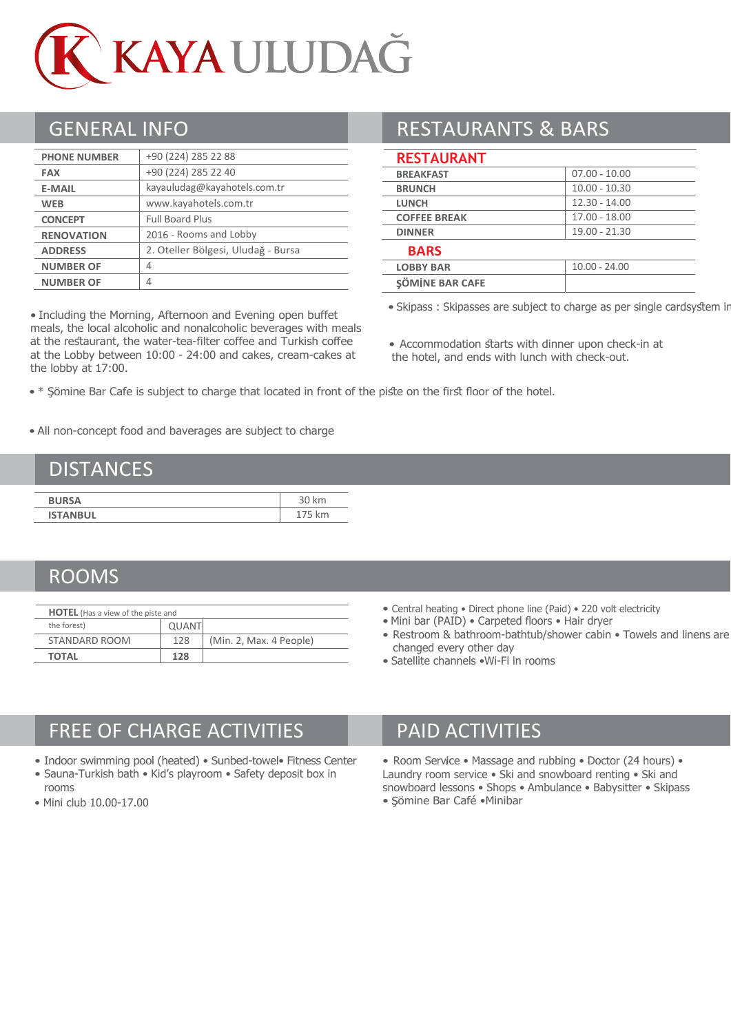

| <b>PHONE NUMBER</b> | +90 (224) 285 22 88                |  |  |
|---------------------|------------------------------------|--|--|
| <b>FAX</b>          | +90 (224) 285 22 40                |  |  |
| <b>E-MAIL</b>       | kayauludag@kayahotels.com.tr       |  |  |
| <b>WEB</b>          | www.kayahotels.com.tr              |  |  |
| <b>CONCEPT</b>      | <b>Full Board Plus</b>             |  |  |
| <b>RENOVATION</b>   | 2016 - Rooms and Lobby             |  |  |
| <b>ADDRESS</b>      | 2. Oteller Bölgesi, Uludağ - Bursa |  |  |
| <b>NUMBER OF</b>    | 4                                  |  |  |
| <b>NUMBER OF</b>    | 4                                  |  |  |

• Including the Morning, Afternoon and Evening open buffet meals, the local alcoholic and nonalcoholic beverages with meals at the restaurant, the water-tea-filter coffee and Turkish coffee at the Lobby between 10:00 - 24:00 and cakes, cream-cakes at the lobby at 17:00.

## GENERAL INFO **RESTAURANTS & BARS**

#### **RESTAURANT**

| $07.00 - 10.00$ |
|-----------------|
| $10.00 - 10.30$ |
| $12.30 - 14.00$ |
| 17.00 - 18.00   |
| 19.00 - 21.30   |
|                 |
| $10.00 - 24.00$ |
|                 |
|                 |

• Skipass : Skipasses are subject to charge as per single cardsystem in

- Accommodation starts with dinner upon check-in at the hotel, and ends with lunch with check-out.
- \* Şömine Bar Cafe is subject to charge that located in front of the piste on the first floor of the hotel.

• All non-concept food and baverages are subject to charge

#### **DISTANCES**

| <b>BURSA</b>    | 30 km |
|-----------------|-------|
| <b>ISTANBUL</b> | km.   |

### ROOMS

| <b>HOTEL</b> (Has a view of the piste and |              |                         |  |  |
|-------------------------------------------|--------------|-------------------------|--|--|
| the forest)                               | <b>QUANT</b> |                         |  |  |
| STANDARD ROOM                             | 128          | (Min. 2, Max. 4 People) |  |  |
| <b>TOTAL</b>                              | 128          |                         |  |  |

- Central heating Direct phone line (Paid) 220 volt electricity
- Mini bar (PAID) Carpeted floors Hair dryer
- Restroom & bathroom-bathtub/shower cabin Towels and linens are changed every other day
- Satellite channels •Wi-Fi in rooms

# FREE OF CHARGE ACTIVITIES PAID ACTIVITIES

- Indoor swimming pool (heated) Sunbed-towel• Fitness Center
- Sauna-Turkish bath Kid's playroom Safety deposit box in rooms
- Mini club 10.00-17.00

• Room Service • Massage and rubbing • Doctor (24 hours) • Laundry room service • Ski and snowboard renting • Ski and snowboard lessons • Shops • Ambulance • Babysitter • Skipass • ömine Bar Café •Minibar